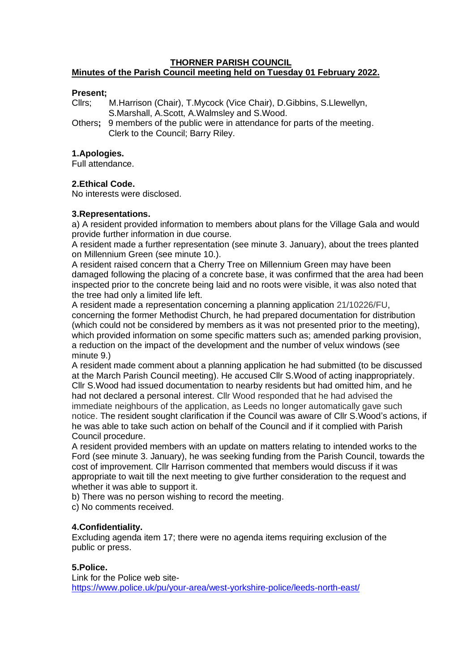#### **THORNER PARISH COUNCIL Minutes of the Parish Council meeting held on Tuesday 01 February 2022.**

## **Present;**

Cllrs; M.Harrison (Chair), T.Mycock (Vice Chair), D.Gibbins, S.Llewellyn, S.Marshall, A.Scott, A.Walmsley and S.Wood.

Others**;** 9 members of the public were in attendance for parts of the meeting. Clerk to the Council; Barry Riley.

#### **1.Apologies.**

Full attendance.

# **2.Ethical Code.**

No interests were disclosed.

## **3.Representations.**

a) A resident provided information to members about plans for the Village Gala and would provide further information in due course.

A resident made a further representation (see minute 3. January), about the trees planted on Millennium Green (see minute 10.).

A resident raised concern that a Cherry Tree on Millennium Green may have been damaged following the placing of a concrete base, it was confirmed that the area had been inspected prior to the concrete being laid and no roots were visible, it was also noted that the tree had only a limited life left.

A resident made a representation concerning a planning application 21/10226/FU, concerning the former Methodist Church, he had prepared documentation for distribution (which could not be considered by members as it was not presented prior to the meeting), which provided information on some specific matters such as; amended parking provision, a reduction on the impact of the development and the number of velux windows (see minute 9.)

A resident made comment about a planning application he had submitted (to be discussed at the March Parish Council meeting). He accused Cllr S.Wood of acting inappropriately. Cllr S.Wood had issued documentation to nearby residents but had omitted him, and he had not declared a personal interest. Cllr Wood responded that he had advised the immediate neighbours of the application, as Leeds no longer automatically gave such notice. The resident sought clarification if the Council was aware of Cllr S.Wood's actions, if he was able to take such action on behalf of the Council and if it complied with Parish Council procedure.

A resident provided members with an update on matters relating to intended works to the Ford (see minute 3. January), he was seeking funding from the Parish Council, towards the cost of improvement. Cllr Harrison commented that members would discuss if it was appropriate to wait till the next meeting to give further consideration to the request and whether it was able to support it.

b) There was no person wishing to record the meeting.

c) No comments received.

# **4.Confidentiality.**

Excluding agenda item 17; there were no agenda items requiring exclusion of the public or press.

# **5.Police.**

Link for the Police web site<https://www.police.uk/pu/your-area/west-yorkshire-police/leeds-north-east/>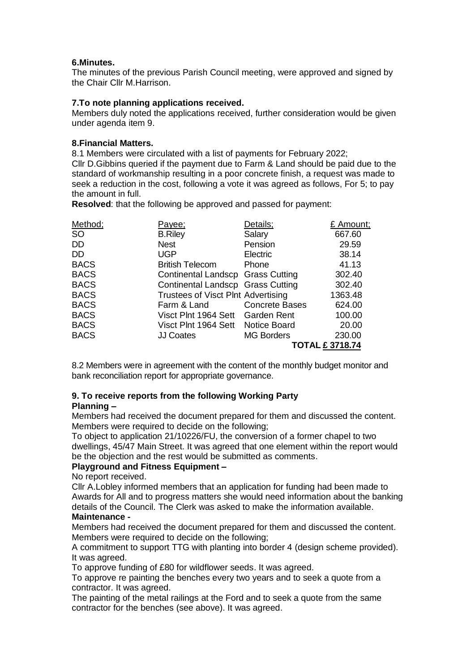# **6.Minutes.**

The minutes of the previous Parish Council meeting, were approved and signed by the Chair Cllr M.Harrison.

#### **7.To note planning applications received.**

Members duly noted the applications received, further consideration would be given under agenda item 9.

#### **8.Financial Matters.**

8.1 Members were circulated with a list of payments for February 2022;

Cllr D.Gibbins queried if the payment due to Farm & Land should be paid due to the standard of workmanship resulting in a poor concrete finish, a request was made to seek a reduction in the cost, following a vote it was agreed as follows, For 5; to pay the amount in full.

**Resolved**: that the following be approved and passed for payment:

| Method;     | <u>Payee;</u>                      | Details;              | £ Amount; |
|-------------|------------------------------------|-----------------------|-----------|
| <b>SO</b>   | <b>B.Riley</b>                     | Salary                | 667.60    |
| DD.         | <b>Nest</b>                        | Pension               | 29.59     |
| DD.         | <b>UGP</b>                         | Electric              | 38.14     |
| <b>BACS</b> | <b>British Telecom</b>             | Phone                 | 41.13     |
| <b>BACS</b> | Continental Landscp Grass Cutting  |                       | 302.40    |
| <b>BACS</b> | Continental Landscp Grass Cutting  |                       | 302.40    |
| <b>BACS</b> | Trustees of Visct Plnt Advertising |                       | 1363.48   |
| <b>BACS</b> | Farm & Land                        | <b>Concrete Bases</b> | 624.00    |
| <b>BACS</b> | Visct Plnt 1964 Sett Garden Rent   |                       | 100.00    |
| <b>BACS</b> | Visct Plnt 1964 Sett               | <b>Notice Board</b>   | 20.00     |
| <b>BACS</b> | <b>JJ Coates</b>                   | <b>MG Borders</b>     | 230.00    |
|             |                                    | <b>TOTAL £3718.74</b> |           |

8.2 Members were in agreement with the content of the monthly budget monitor and bank reconciliation report for appropriate governance.

# **9. To receive reports from the following Working Party**

# **Planning –**

Members had received the document prepared for them and discussed the content. Members were required to decide on the following;

To object to application 21/10226/FU, the conversion of a former chapel to two dwellings, 45/47 Main Street. It was agreed that one element within the report would be the objection and the rest would be submitted as comments.

# **Playground and Fitness Equipment –**

No report received.

Cllr A.Lobley informed members that an application for funding had been made to Awards for All and to progress matters she would need information about the banking details of the Council. The Clerk was asked to make the information available.

# **Maintenance -**

Members had received the document prepared for them and discussed the content. Members were required to decide on the following;

A commitment to support TTG with planting into border 4 (design scheme provided). It was agreed.

To approve funding of £80 for wildflower seeds. It was agreed.

To approve re painting the benches every two years and to seek a quote from a contractor. It was agreed.

The painting of the metal railings at the Ford and to seek a quote from the same contractor for the benches (see above). It was agreed.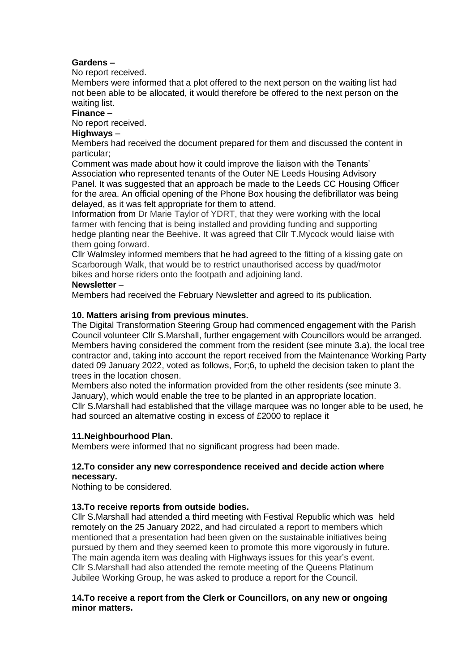# **Gardens –**

No report received.

Members were informed that a plot offered to the next person on the waiting list had not been able to be allocated, it would therefore be offered to the next person on the waiting list.

## **Finance –**

No report received.

# **Highways** –

Members had received the document prepared for them and discussed the content in particular;

Comment was made about how it could improve the liaison with the Tenants' Association who represented tenants of the Outer NE Leeds Housing Advisory Panel. It was suggested that an approach be made to the Leeds CC Housing Officer for the area. An official opening of the Phone Box housing the defibrillator was being delayed, as it was felt appropriate for them to attend.

Information from Dr Marie Taylor of YDRT, that they were working with the local farmer with fencing that is being installed and providing funding and supporting hedge planting near the Beehive. It was agreed that Cllr T.Mycock would liaise with them going forward.

Cllr Walmsley informed members that he had agreed to the fitting of a kissing gate on Scarborough Walk, that would be to restrict unauthorised access by quad/motor bikes and horse riders onto the footpath and adjoining land.

#### **Newsletter** –

Members had received the February Newsletter and agreed to its publication.

## **10. Matters arising from previous minutes.**

The Digital Transformation Steering Group had commenced engagement with the Parish Council volunteer Cllr S.Marshall, further engagement with Councillors would be arranged. Members having considered the comment from the resident (see minute 3.a), the local tree contractor and, taking into account the report received from the Maintenance Working Party dated 09 January 2022, voted as follows, For;6, to upheld the decision taken to plant the trees in the location chosen.

Members also noted the information provided from the other residents (see minute 3. January), which would enable the tree to be planted in an appropriate location. Cllr S.Marshall had established that the village marquee was no longer able to be used, he had sourced an alternative costing in excess of £2000 to replace it

# **11.Neighbourhood Plan.**

Members were informed that no significant progress had been made.

## **12.To consider any new correspondence received and decide action where necessary.**

Nothing to be considered.

# **13.To receive reports from outside bodies.**

Cllr S.Marshall had attended a third meeting with Festival Republic which was held remotely on the 25 January 2022, and had circulated a report to members which mentioned that a presentation had been given on the sustainable initiatives being pursued by them and they seemed keen to promote this more vigorously in future. The main agenda item was dealing with Highways issues for this year's event. Cllr S.Marshall had also attended the remote meeting of the Queens Platinum Jubilee Working Group, he was asked to produce a report for the Council.

## **14.To receive a report from the Clerk or Councillors, on any new or ongoing minor matters.**